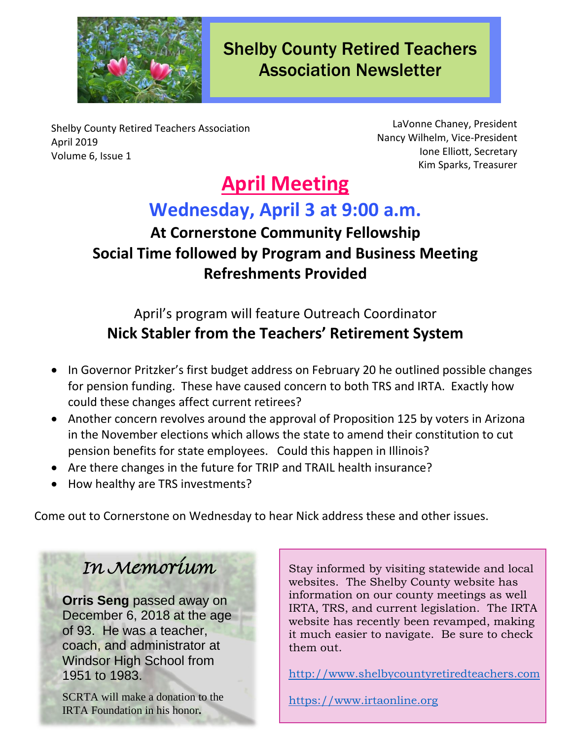

Shelby County Retired Teachers Association Newsletter

Shelby County Retired Teachers Association April 2019 Volume 6, Issue 1

LaVonne Chaney, President Nancy Wilhelm, Vice-President Ione Elliott, Secretary Kim Sparks, Treasurer

# **April Meeting**

## **Wednesday, April 3 at 9:00 a.m.**

## **At Cornerstone Community Fellowship Social Time followed by Program and Business Meeting Refreshments Provided**

### April's program will feature Outreach Coordinator **Nick Stabler from the Teachers' Retirement System**

- In Governor Pritzker's first budget address on February 20 he outlined possible changes for pension funding. These have caused concern to both TRS and IRTA. Exactly how could these changes affect current retirees?
- Another concern revolves around the approval of Proposition 125 by voters in Arizona in the November elections which allows the state to amend their constitution to cut pension benefits for state employees. Could this happen in Illinois?
- Are there changes in the future for TRIP and TRAIL health insurance?
- How healthy are TRS investments?

Come out to Cornerstone on Wednesday to hear Nick address these and other issues.

## In Memorium

**Orris Seng** passed away on December 6, 2018 at the age of 93. He was a teacher, coach, and administrator at Windsor High School from 1951 to 1983.

SCRTA will make a donation to the IRTA Foundation in his honor**.**

Stay informed by visiting statewide and local websites. The Shelby County website has information on our county meetings as well IRTA, TRS, and current legislation. The IRTA website has recently been revamped, making it much easier to navigate. Be sure to check them out.

[http://www.shelbycountyretiredteachers.com](http://www.shelbycountyretiredteachers.com/)

[https://www.irtaonline.org](https://www.irtaonline.org/)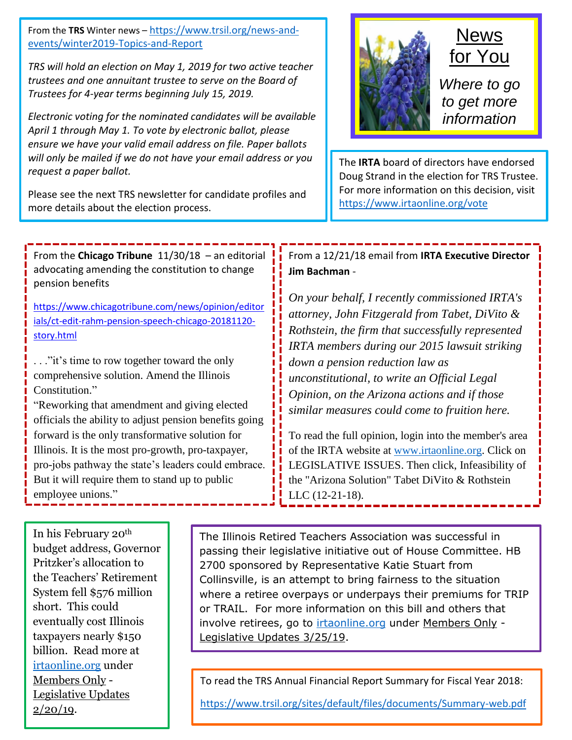From the **TRS** Winter news – [https://www.trsil.org/news-and](https://www.trsil.org/news-and-events/winter2019-Topics-and-Report)[events/winter2019-Topics-and-Report](https://www.trsil.org/news-and-events/winter2019-Topics-and-Report)

*TRS will hold an election on May 1, 2019 for two active teacher trustees and one annuitant trustee to serve on the Board of Trustees for 4-year terms beginning July 15, 2019.*

*Electronic voting for the nominated candidates will be available April 1 through May 1. To vote by electronic ballot, please ensure we have your valid email address on file. Paper ballots will only be mailed if we do not have your email address or you request a paper ballot.*

Please see the next TRS newsletter for candidate profiles and more details about the election process.

## **News** for You

*Where to go to get more information*

The **IRTA** board of directors have endorsed Doug Strand in the election for TRS Trustee. For more information on this decision, visit <https://www.irtaonline.org/vote>

From the **Chicago Tribune** 11/30/18 – an editorial advocating amending the constitution to change pension benefits

[https://www.chicagotribune.com/news/opinion/editor](https://www.chicagotribune.com/news/opinion/editorials/ct-edit-rahm-pension-speech-chicago-20181120-story.html) [ials/ct-edit-rahm-pension-speech-chicago-20181120](https://www.chicagotribune.com/news/opinion/editorials/ct-edit-rahm-pension-speech-chicago-20181120-story.html) [story.html](https://www.chicagotribune.com/news/opinion/editorials/ct-edit-rahm-pension-speech-chicago-20181120-story.html)

. . ."it's time to row together toward the only comprehensive solution. Amend the Illinois Constitution."

"Reworking that amendment and giving elected officials the ability to adjust pension benefits going forward is the only transformative solution for Illinois. It is the most pro-growth, pro-taxpayer, pro-jobs pathway the state's leaders could embrace. But it will require them to stand up to public employee unions."

In his February 20th budget address, Governor Pritzker's allocation to the Teachers' Retirement System fell \$576 million short. This could eventually cost Illinois taxpayers nearly \$150 billion. Read more at [irtaonline.org](file:///C:/Users/Nancy/Documents/SCRTA/irtaonline.org) under Members Only - Legislative Updates  $2/20/19$ .

The Illinois Retired Teachers Association was successful in passing their legislative initiative out of House Committee. HB 2700 sponsored by Representative Katie Stuart from Collinsville, is an attempt to bring fairness to the situation where a retiree overpays or underpays their premiums for TRIP or TRAIL. For more information on this bill and others that involve retirees, go to [irtaonline.org](file:///C:/Users/Nancy/Documents/SCRTA/irtaonline.org) under Members Only - Legislative Updates 3/25/19.

To read the TRS Annual Financial Report Summary for Fiscal Year 2018:

<https://www.trsil.org/sites/default/files/documents/Summary-web.pdf>

From a 12/21/18 email from **IRTA Executive Director Jim Bachman** -

*On your behalf, I recently commissioned IRTA's attorney, John Fitzgerald from Tabet, DiVito & Rothstein, the firm that successfully represented IRTA members during our 2015 lawsuit striking down a pension reduction law as unconstitutional, to write an Official Legal Opinion, on the Arizona actions and if those similar measures could come to fruition here.*

To read the full opinion, login into the member's area of the IRTA website at [www.irtaonline.org.](file:///C:/Users/Nancy/Documents/SCRTA/www.irtaonline.org) Click on LEGISLATIVE ISSUES. Then click, Infeasibility of the "Arizona Solution" Tabet DiVito & Rothstein LLC (12-21-18).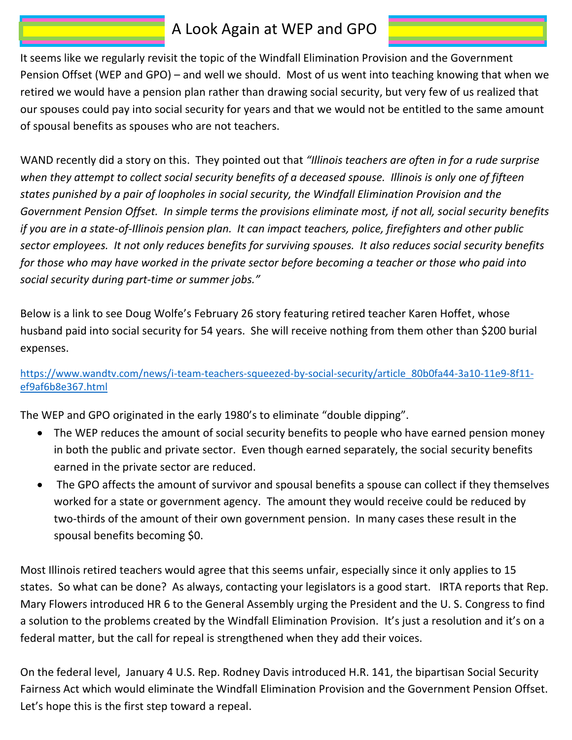### A Look Again at WEP and GPO

It seems like we regularly revisit the topic of the Windfall Elimination Provision and the Government Pension Offset (WEP and GPO) – and well we should. Most of us went into teaching knowing that when we retired we would have a pension plan rather than drawing social security, but very few of us realized that our spouses could pay into social security for years and that we would not be entitled to the same amount of spousal benefits as spouses who are not teachers.

WAND recently did a story on this. They pointed out that *"Illinois teachers are often in for a rude surprise when they attempt to collect social security benefits of a deceased spouse. Illinois is only one of fifteen states punished by a pair of loopholes in social security, the Windfall Elimination Provision and the Government Pension Offset. In simple terms the provisions eliminate most, if not all, social security benefits if you are in a state-of-Illinois pension plan. It can impact teachers, police, firefighters and other public sector employees. It not only reduces benefits for surviving spouses. It also reduces social security benefits for those who may have worked in the private sector before becoming a teacher or those who paid into social security during part-time or summer jobs."* 

Below is a link to see Doug Wolfe's February 26 story featuring retired teacher Karen Hoffet, whose husband paid into social security for 54 years. She will receive nothing from them other than \$200 burial expenses.

[https://www.wandtv.com/news/i-team-teachers-squeezed-by-social-security/article\\_80b0fa44-3a10-11e9-8f11](https://www.wandtv.com/news/i-team-teachers-squeezed-by-social-security/article_80b0fa44-3a10-11e9-8f11-ef9af6b8e367.html) [ef9af6b8e367.html](https://www.wandtv.com/news/i-team-teachers-squeezed-by-social-security/article_80b0fa44-3a10-11e9-8f11-ef9af6b8e367.html)

The WEP and GPO originated in the early 1980's to eliminate "double dipping".

- The WEP reduces the amount of social security benefits to people who have earned pension money in both the public and private sector. Even though earned separately, the social security benefits earned in the private sector are reduced.
- The GPO affects the amount of survivor and spousal benefits a spouse can collect if they themselves worked for a state or government agency. The amount they would receive could be reduced by two-thirds of the amount of their own government pension. In many cases these result in the spousal benefits becoming \$0.

Most Illinois retired teachers would agree that this seems unfair, especially since it only applies to 15 states. So what can be done? As always, contacting your legislators is a good start. IRTA reports that Rep. Mary Flowers introduced HR 6 to the General Assembly urging the President and the U. S. Congress to find a solution to the problems created by the Windfall Elimination Provision. It's just a resolution and it's on a federal matter, but the call for repeal is strengthened when they add their voices.

On the federal level, January 4 U.S. Rep. Rodney Davis introduced H.R. 141, the bipartisan Social Security Fairness Act which would eliminate the Windfall Elimination Provision and the Government Pension Offset. Let's hope this is the first step toward a repeal.